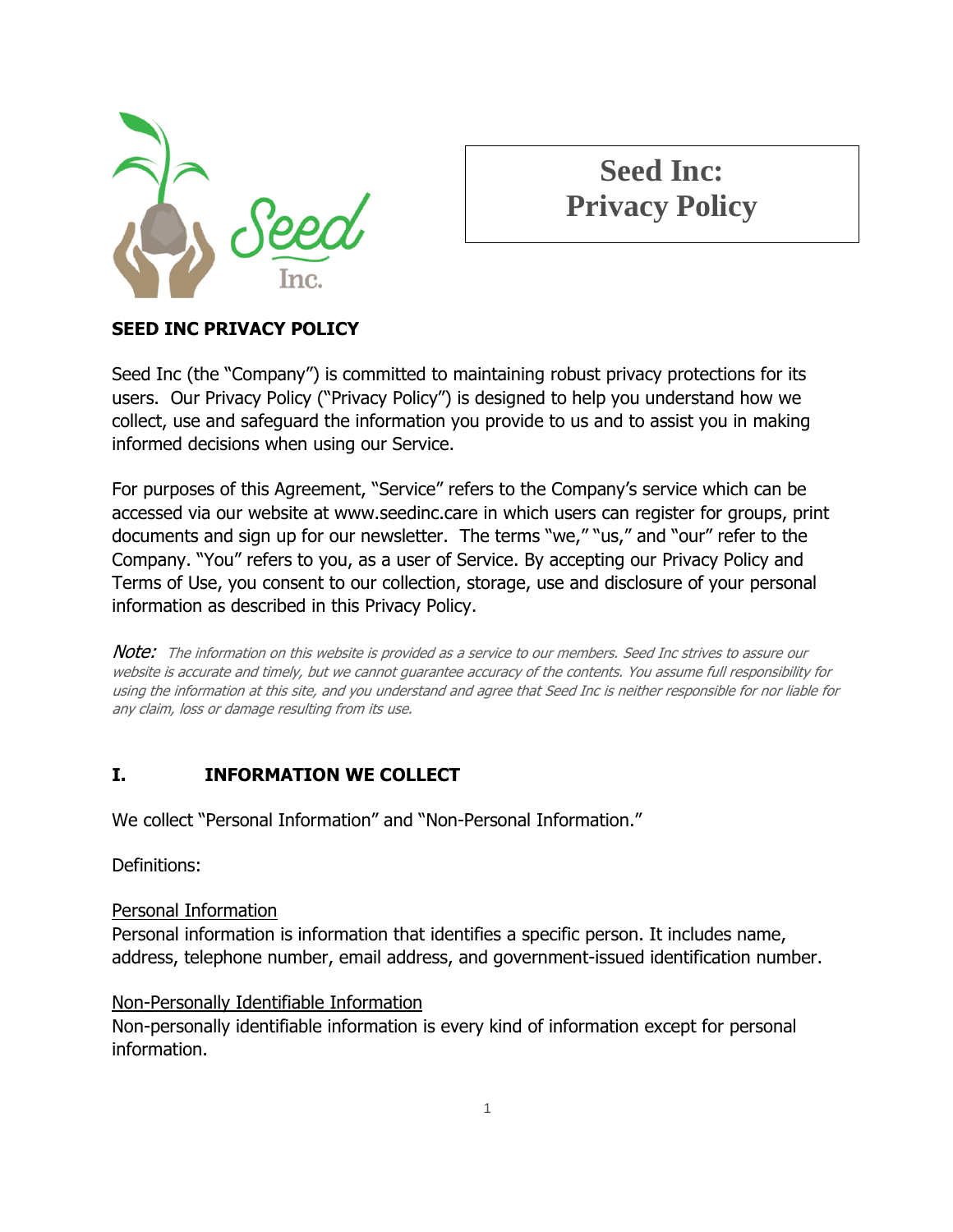

# **Seed Inc: Privacy Policy**

# **SEED INC PRIVACY POLICY**

Seed Inc (the "Company") is committed to maintaining robust privacy protections for its users. Our Privacy Policy ("Privacy Policy") is designed to help you understand how we collect, use and safeguard the information you provide to us and to assist you in making informed decisions when using our Service.

For purposes of this Agreement, "Service" refers to the Company's service which can be accessed via our website at www.seedinc.care in which users can register for groups, print documents and sign up for our newsletter. The terms "we," "us," and "our" refer to the Company. "You" refers to you, as a user of Service. By accepting our Privacy Policy and Terms of Use, you consent to our collection, storage, use and disclosure of your personal information as described in this Privacy Policy.

Note: The information on this website is provided as a service to our members. Seed Inc strives to assure our website is accurate and timely, but we cannot guarantee accuracy of the contents. You assume full responsibility for using the information at this site, and you understand and agree that Seed Inc is neither responsible for nor liable for any claim, loss or damage resulting from its use.

#### **I. INFORMATION WE COLLECT**

We collect "Personal Information" and "Non-Personal Information."

Definitions:

#### Personal Information

Personal information is information that identifies a specific person. It includes name, address, telephone number, email address, and government-issued identification number.

#### Non-Personally Identifiable Information

Non-personally identifiable information is every kind of information except for personal information.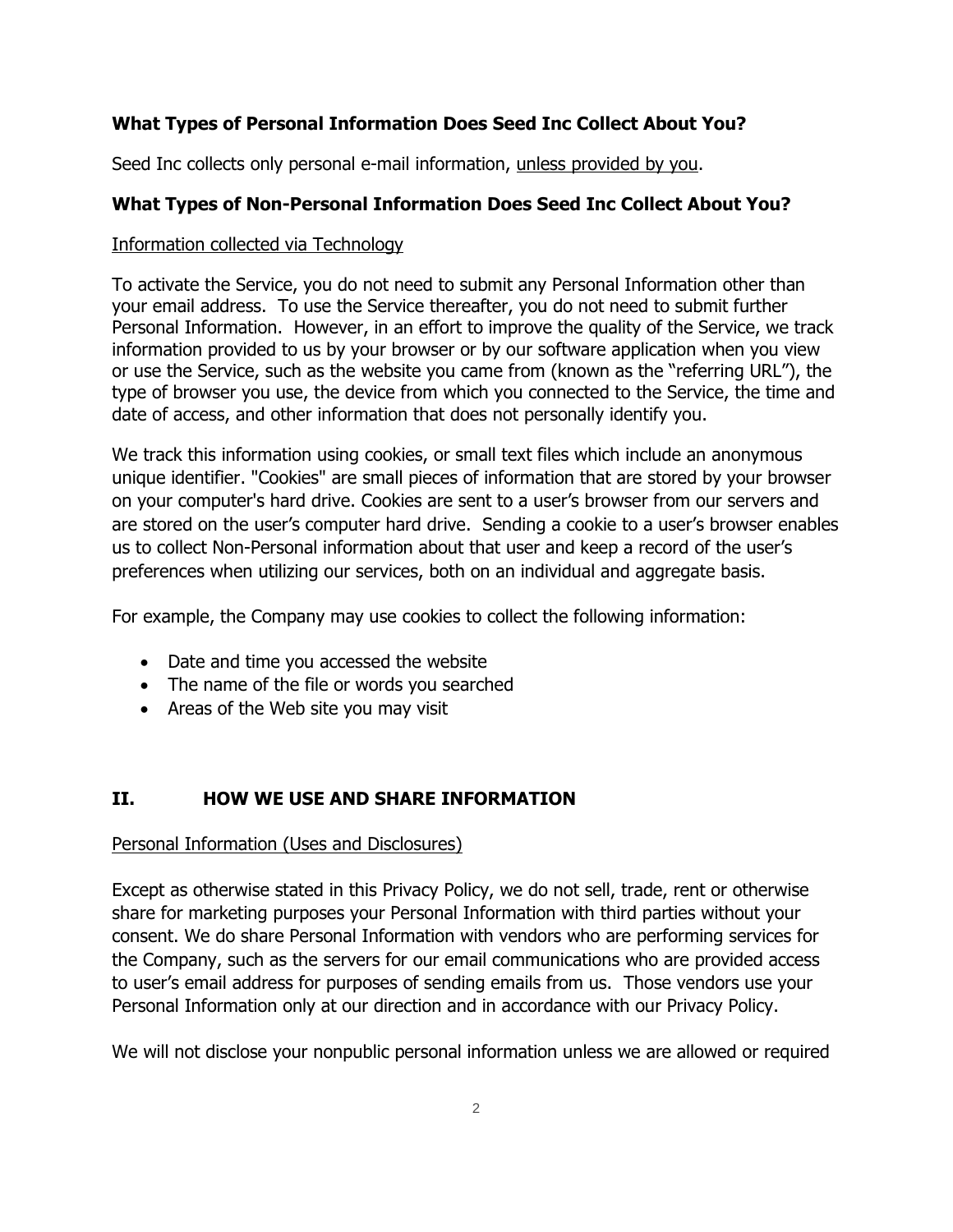## **What Types of Personal Information Does Seed Inc Collect About You?**

Seed Inc collects only personal e-mail information, unless provided by you.

## **What Types of Non-Personal Information Does Seed Inc Collect About You?**

#### Information collected via Technology

To activate the Service, you do not need to submit any Personal Information other than your email address. To use the Service thereafter, you do not need to submit further Personal Information. However, in an effort to improve the quality of the Service, we track information provided to us by your browser or by our software application when you view or use the Service, such as the website you came from (known as the "referring URL"), the type of browser you use, the device from which you connected to the Service, the time and date of access, and other information that does not personally identify you.

We track this information using cookies, or small text files which include an anonymous unique identifier. "Cookies" are small pieces of information that are stored by your browser on your computer's hard drive. Cookies are sent to a user's browser from our servers and are stored on the user's computer hard drive. Sending a cookie to a user's browser enables us to collect Non-Personal information about that user and keep a record of the user's preferences when utilizing our services, both on an individual and aggregate basis.

For example, the Company may use cookies to collect the following information:

- Date and time you accessed the website
- The name of the file or words you searched
- Areas of the Web site you may visit

# **II. HOW WE USE AND SHARE INFORMATION**

#### Personal Information (Uses and Disclosures)

Except as otherwise stated in this Privacy Policy, we do not sell, trade, rent or otherwise share for marketing purposes your Personal Information with third parties without your consent. We do share Personal Information with vendors who are performing services for the Company, such as the servers for our email communications who are provided access to user's email address for purposes of sending emails from us. Those vendors use your Personal Information only at our direction and in accordance with our Privacy Policy.

We will not disclose your nonpublic personal information unless we are allowed or required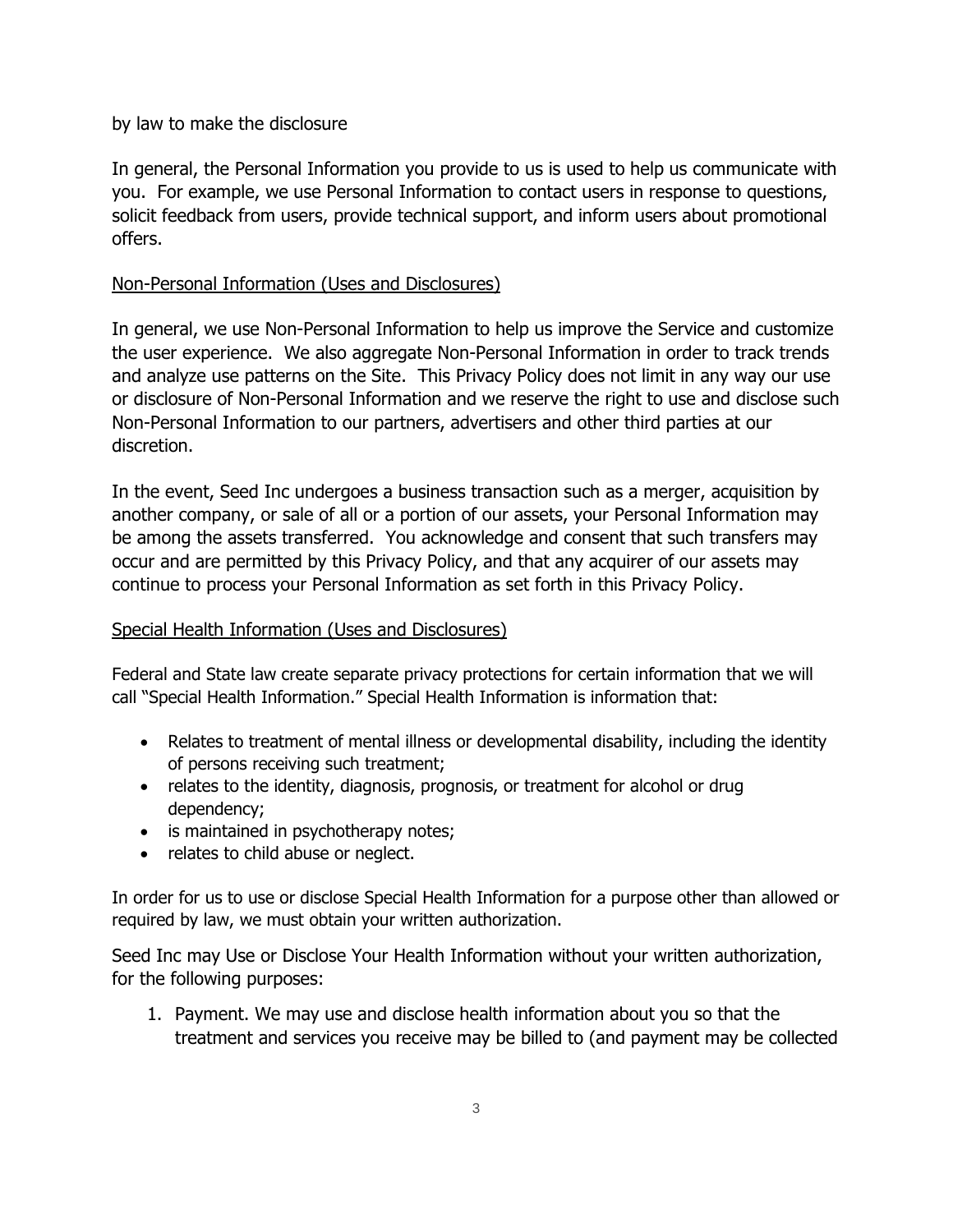by law to make the disclosure

In general, the Personal Information you provide to us is used to help us communicate with you. For example, we use Personal Information to contact users in response to questions, solicit feedback from users, provide technical support, and inform users about promotional offers.

#### Non-Personal Information (Uses and Disclosures)

In general, we use Non-Personal Information to help us improve the Service and customize the user experience. We also aggregate Non-Personal Information in order to track trends and analyze use patterns on the Site. This Privacy Policy does not limit in any way our use or disclosure of Non-Personal Information and we reserve the right to use and disclose such Non-Personal Information to our partners, advertisers and other third parties at our discretion.

In the event, Seed Inc undergoes a business transaction such as a merger, acquisition by another company, or sale of all or a portion of our assets, your Personal Information may be among the assets transferred. You acknowledge and consent that such transfers may occur and are permitted by this Privacy Policy, and that any acquirer of our assets may continue to process your Personal Information as set forth in this Privacy Policy.

#### Special Health Information (Uses and Disclosures)

Federal and State law create separate privacy protections for certain information that we will call "Special Health Information." Special Health Information is information that:

- Relates to treatment of mental illness or developmental disability, including the identity of persons receiving such treatment;
- relates to the identity, diagnosis, prognosis, or treatment for alcohol or drug dependency;
- is maintained in psychotherapy notes;
- relates to child abuse or neglect.

In order for us to use or disclose Special Health Information for a purpose other than allowed or required by law, we must obtain your written authorization.

Seed Inc may Use or Disclose Your Health Information without your written authorization, for the following purposes:

1. Payment. We may use and disclose health information about you so that the treatment and services you receive may be billed to (and payment may be collected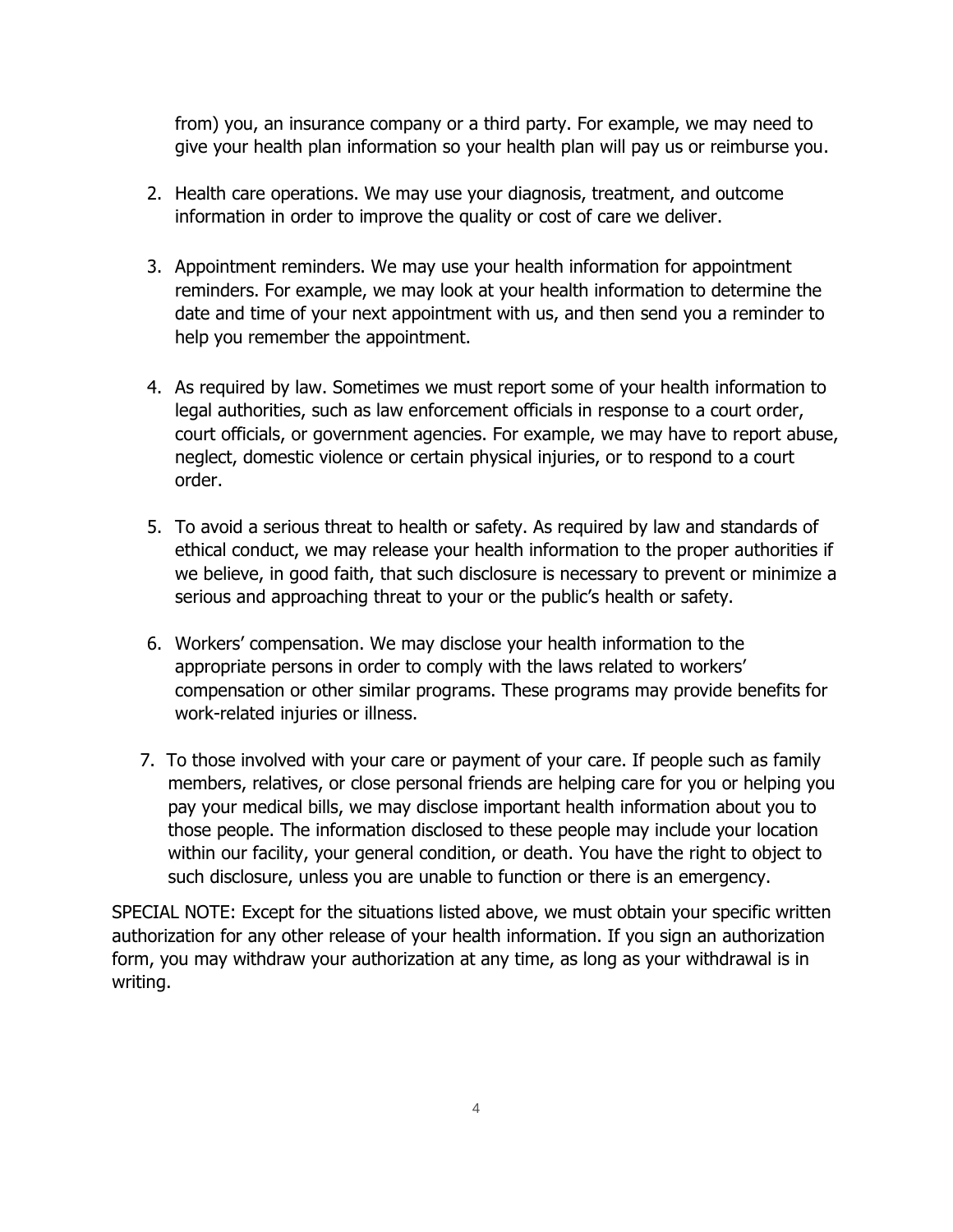from) you, an insurance company or a third party. For example, we may need to give your health plan information so your health plan will pay us or reimburse you.

- 2. Health care operations. We may use your diagnosis, treatment, and outcome information in order to improve the quality or cost of care we deliver.
- 3. Appointment reminders. We may use your health information for appointment reminders. For example, we may look at your health information to determine the date and time of your next appointment with us, and then send you a reminder to help you remember the appointment.
- 4. As required by law. Sometimes we must report some of your health information to legal authorities, such as law enforcement officials in response to a court order, court officials, or government agencies. For example, we may have to report abuse, neglect, domestic violence or certain physical injuries, or to respond to a court order.
- 5. To avoid a serious threat to health or safety. As required by law and standards of ethical conduct, we may release your health information to the proper authorities if we believe, in good faith, that such disclosure is necessary to prevent or minimize a serious and approaching threat to your or the public's health or safety.
- 6. Workers' compensation. We may disclose your health information to the appropriate persons in order to comply with the laws related to workers' compensation or other similar programs. These programs may provide benefits for work-related injuries or illness.
- 7. To those involved with your care or payment of your care. If people such as family members, relatives, or close personal friends are helping care for you or helping you pay your medical bills, we may disclose important health information about you to those people. The information disclosed to these people may include your location within our facility, your general condition, or death. You have the right to object to such disclosure, unless you are unable to function or there is an emergency.

SPECIAL NOTE: Except for the situations listed above, we must obtain your specific written authorization for any other release of your health information. If you sign an authorization form, you may withdraw your authorization at any time, as long as your withdrawal is in writing.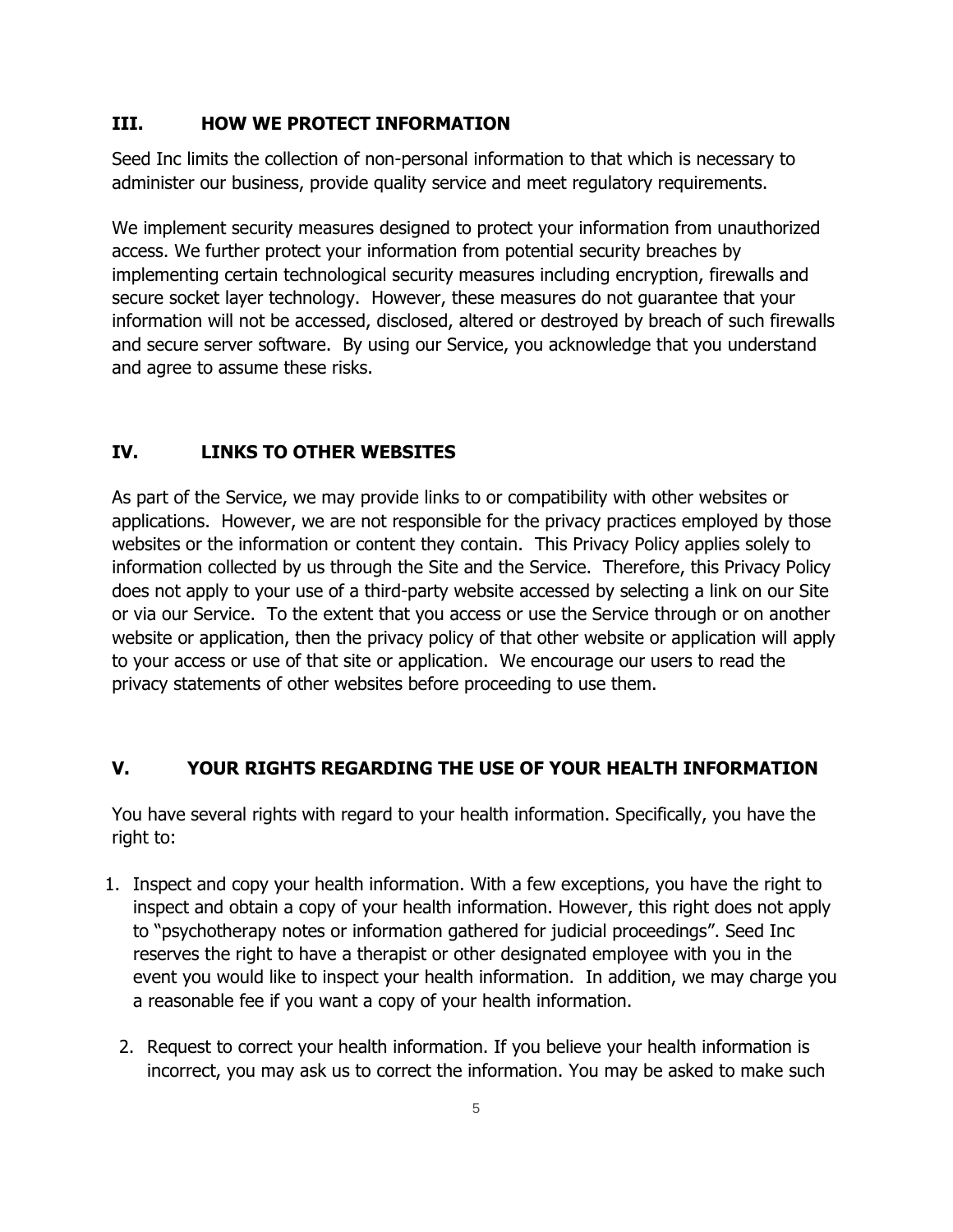## **III. HOW WE PROTECT INFORMATION**

Seed Inc limits the collection of non-personal information to that which is necessary to administer our business, provide quality service and meet regulatory requirements.

We implement security measures designed to protect your information from unauthorized access. We further protect your information from potential security breaches by implementing certain technological security measures including encryption, firewalls and secure socket layer technology. However, these measures do not guarantee that your information will not be accessed, disclosed, altered or destroyed by breach of such firewalls and secure server software. By using our Service, you acknowledge that you understand and agree to assume these risks.

# **IV. LINKS TO OTHER WEBSITES**

As part of the Service, we may provide links to or compatibility with other websites or applications. However, we are not responsible for the privacy practices employed by those websites or the information or content they contain. This Privacy Policy applies solely to information collected by us through the Site and the Service. Therefore, this Privacy Policy does not apply to your use of a third-party website accessed by selecting a link on our Site or via our Service. To the extent that you access or use the Service through or on another website or application, then the privacy policy of that other website or application will apply to your access or use of that site or application. We encourage our users to read the privacy statements of other websites before proceeding to use them.

#### **V. YOUR RIGHTS REGARDING THE USE OF YOUR HEALTH INFORMATION**

You have several rights with regard to your health information. Specifically, you have the right to:

- 1. Inspect and copy your health information. With a few exceptions, you have the right to inspect and obtain a copy of your health information. However, this right does not apply to "psychotherapy notes or information gathered for judicial proceedings". Seed Inc reserves the right to have a therapist or other designated employee with you in the event you would like to inspect your health information. In addition, we may charge you a reasonable fee if you want a copy of your health information.
	- 2. Request to correct your health information. If you believe your health information is incorrect, you may ask us to correct the information. You may be asked to make such